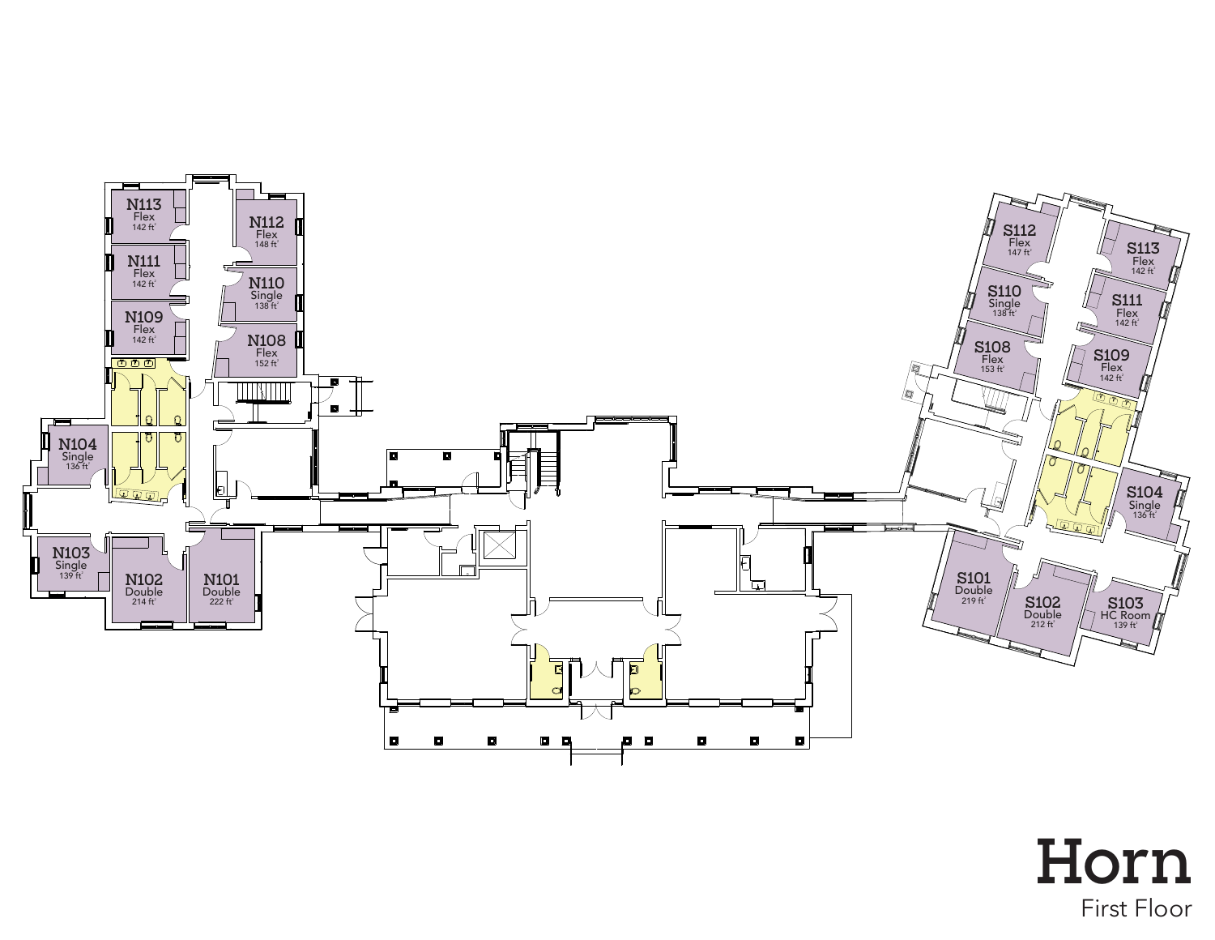